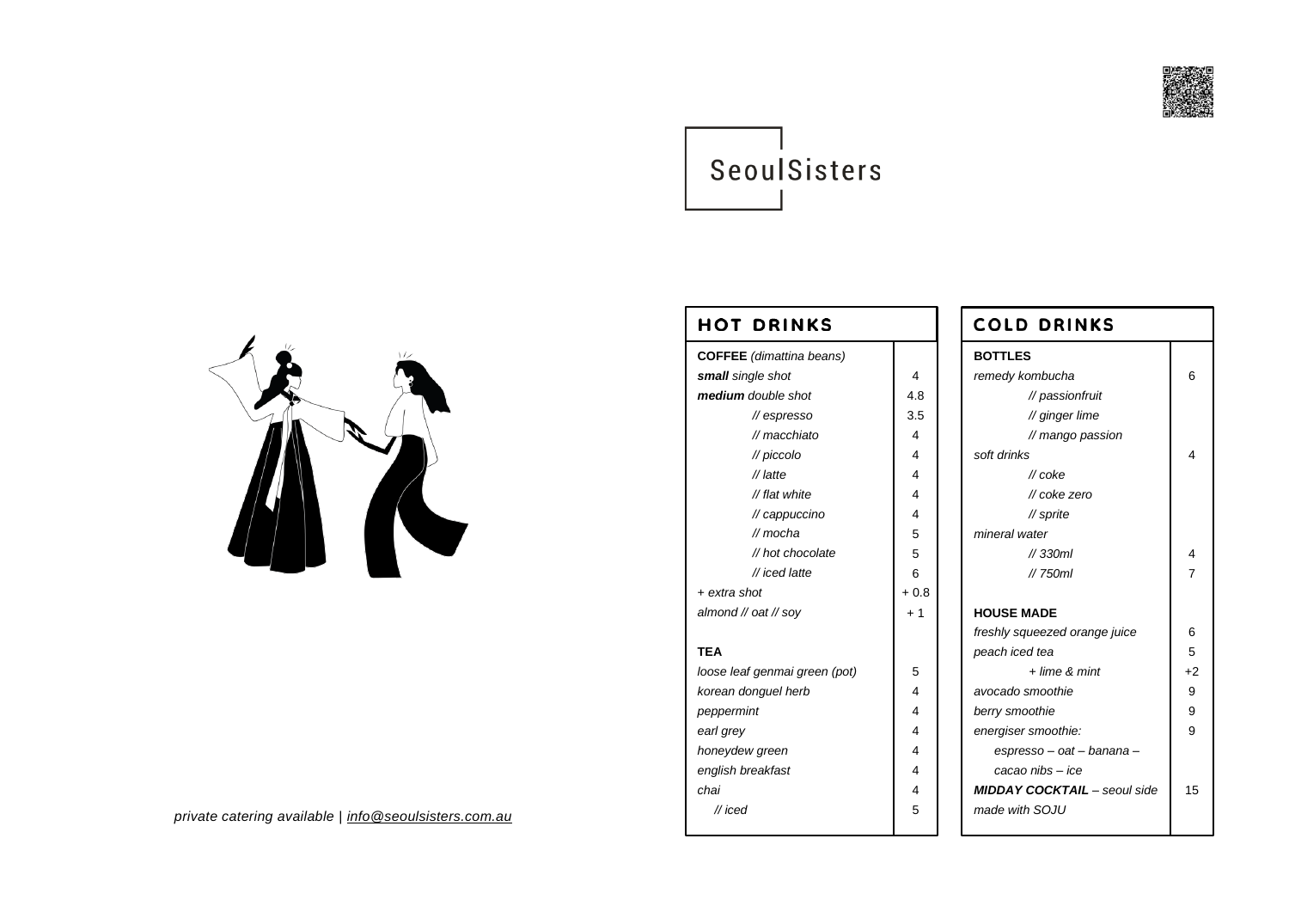

## SeoulSisters

HOT DRINKS



| <b>COFFEE</b> (dimattina beans) |                         |  |
|---------------------------------|-------------------------|--|
| small single shot               | 4                       |  |
| medium double shot              | 4.8                     |  |
| // espresso                     | 3.5                     |  |
| // macchiato                    | 4                       |  |
| // piccolo                      | 4                       |  |
| // latte                        | $\overline{\mathbf{4}}$ |  |
| // flat white                   | 4                       |  |
| // cappuccino                   | 4                       |  |
| // mocha                        | 5                       |  |
| // hot chocolate                | 5                       |  |
| // iced latte                   | 6                       |  |
| + extra shot                    | $+0.8$                  |  |
| almond // oat // soy            | $+1$                    |  |
|                                 |                         |  |
| <b>TEA</b>                      |                         |  |
| loose leaf genmai green (pot)   | 5                       |  |
| korean donguel herb             | 4                       |  |
| peppermint                      | 4                       |  |
| earl grey                       | 4                       |  |
| honeydew green                  | 4                       |  |
| english breakfast               | 4                       |  |
| chai                            | 4                       |  |

5

 *// iced*

| <b>COLD DRINKS</b>                  |                |
|-------------------------------------|----------------|
| <b>BOTTLES</b>                      |                |
| remedy kombucha                     | 6              |
| // passionfruit                     |                |
| // ginger lime                      |                |
| // mango passion                    |                |
| soft drinks                         | 4              |
| $\mathcal U$ coke                   |                |
| // coke zero                        |                |
| // sprite                           |                |
| mineral water                       |                |
| $\frac{\textit{1}}{\textit{230ml}}$ | 4              |
| // 750ml                            | $\overline{7}$ |
| <b>HOUSE MADE</b>                   |                |
| freshly squeezed orange juice       | 6              |
| peach iced tea                      | 5              |
| $+$ lime & mint                     | $+2$           |
| avocado smoothie                    | 9              |
| berry smoothie                      | 9              |
| energiser smoothie:                 | 9              |
| espresso - oat - banana -           |                |
| cacao nibs – ice                    |                |
| <b>MIDDAY COCKTAIL</b> - seoul side | 15             |
| made with SOJU                      |                |
|                                     |                |